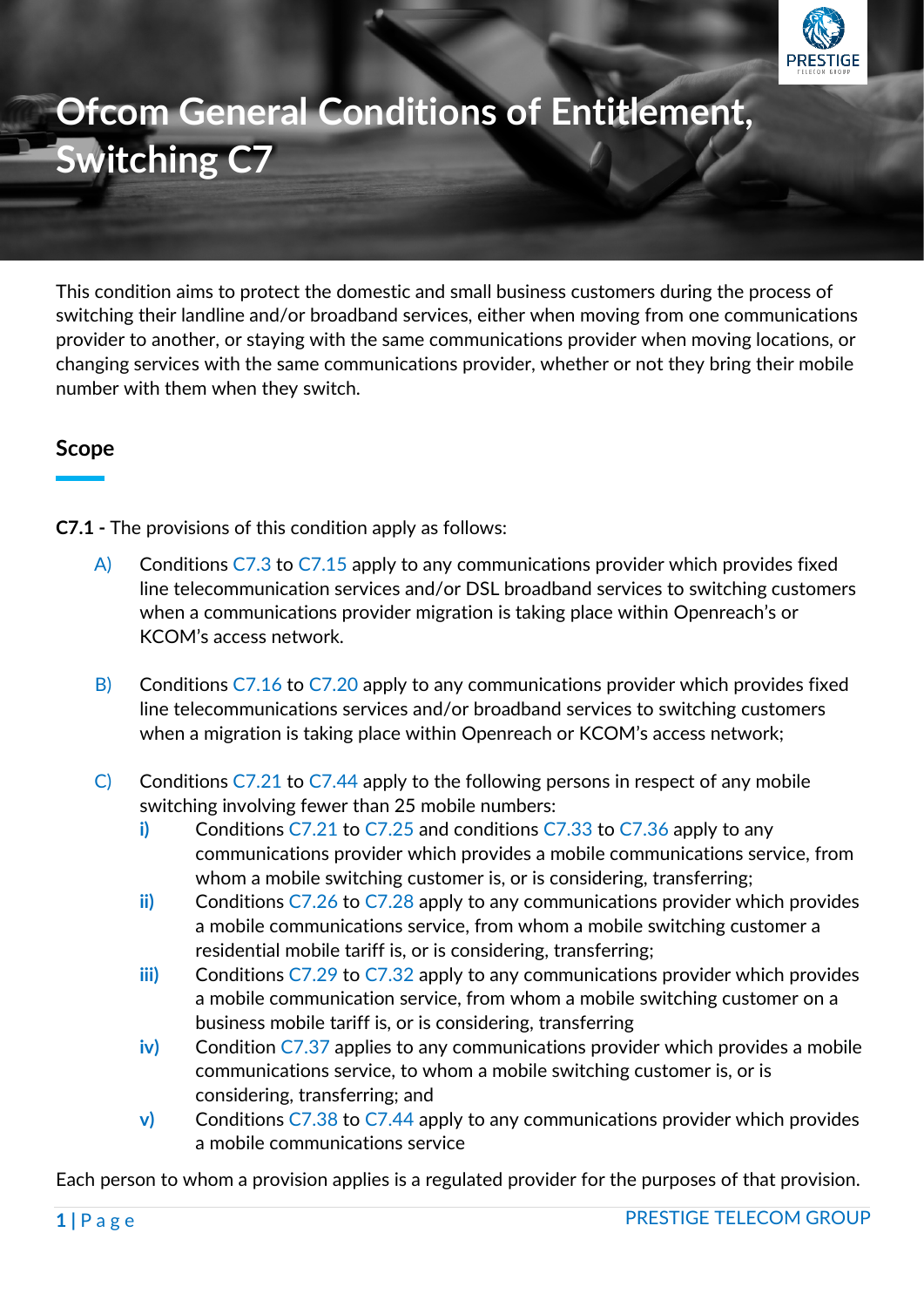

# **Ofcom General Conditions of Entitlement, Switching C7**

This condition aims to protect the domestic and small business customers during the process of switching their landline and/or broadband services, either when moving from one communications provider to another, or staying with the same communications provider when moving locations, or changing services with the same communications provider, whether or not they bring their mobile number with them when they switch.

## **Scope**

**C7.1 -** The provisions of this condition apply as follows:

- A) Conditions C7.3 to C7.15 apply to any communications provider which provides fixed line telecommunication services and/or DSL broadband services to switching customers when a communications provider migration is taking place within Openreach's or KCOM's access network.
- B) Conditions C7.16 to C7.20 apply to any communications provider which provides fixed line telecommunications services and/or broadband services to switching customers when a migration is taking place within Openreach or KCOM's access network;
- C) Conditions C7.21 to C7.44 apply to the following persons in respect of any mobile switching involving fewer than 25 mobile numbers:
	- **i)** Conditions C7.21 to C7.25 and conditions C7.33 to C7.36 apply to any communications provider which provides a mobile communications service, from whom a mobile switching customer is, or is considering, transferring;
	- **ii)** Conditions C7.26 to C7.28 apply to any communications provider which provides a mobile communications service, from whom a mobile switching customer a residential mobile tariff is, or is considering, transferring;
	- **iii)** Conditions C7.29 to C7.32 apply to any communications provider which provides a mobile communication service, from whom a mobile switching customer on a business mobile tariff is, or is considering, transferring
	- **iv)** Condition C7.37 applies to any communications provider which provides a mobile communications service, to whom a mobile switching customer is, or is considering, transferring; and
	- **v)** Conditions C7.38 to C7.44 apply to any communications provider which provides a mobile communications service

Each person to whom a provision applies is a regulated provider for the purposes of that provision.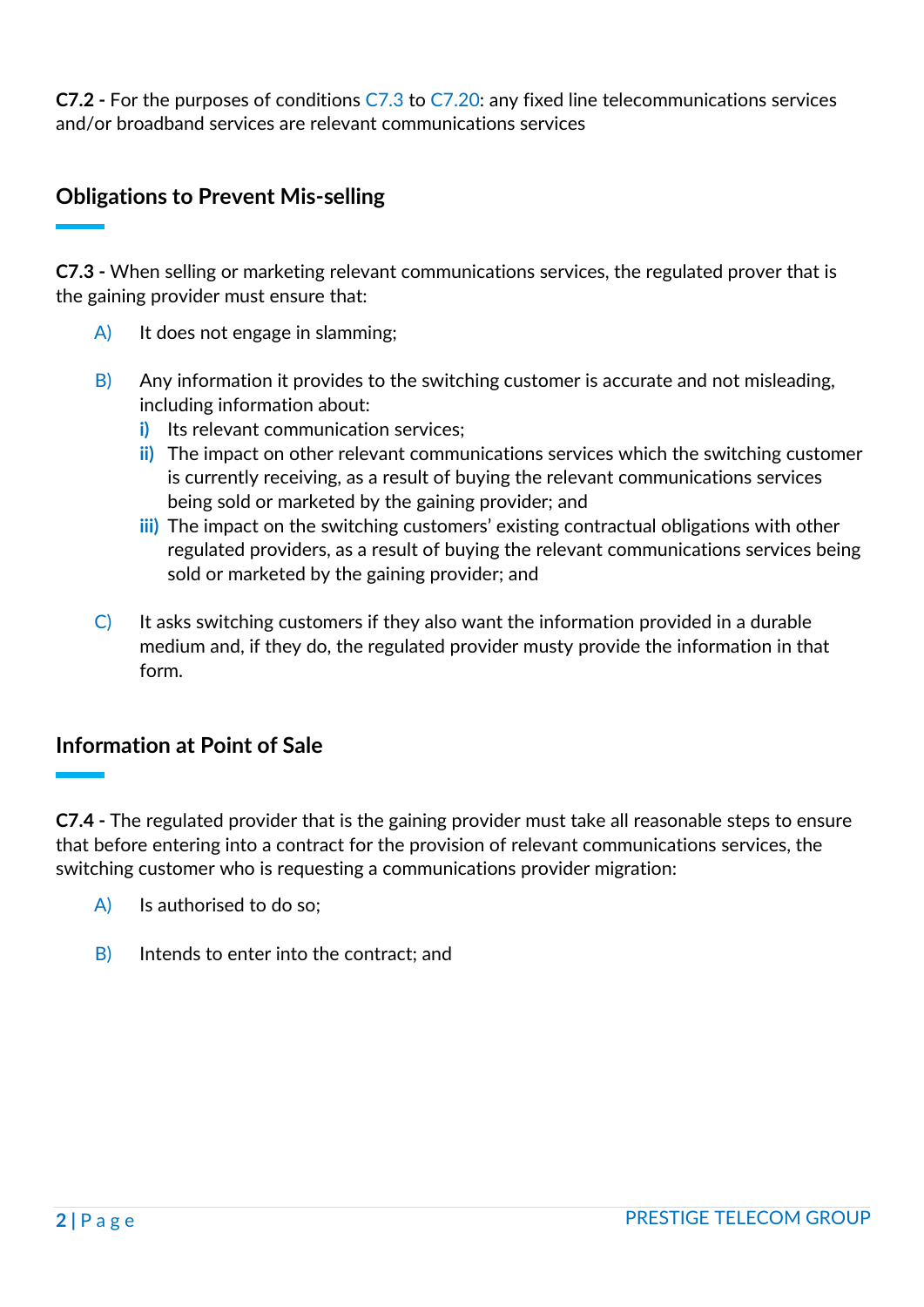**C7.2 -** For the purposes of conditions C7.3 to C7.20: any fixed line telecommunications services and/or broadband services are relevant communications services

# **Obligations to Prevent Mis-selling**

**C7.3 -** When selling or marketing relevant communications services, the regulated prover that is the gaining provider must ensure that:

- A) It does not engage in slamming;
- $\vert$ B) Any information it provides to the switching customer is accurate and not misleading, including information about:
	- **i)** Its relevant communication services;
	- **ii)** The impact on other relevant communications services which the switching customer is currently receiving, as a result of buying the relevant communications services being sold or marketed by the gaining provider; and
	- **iii)** The impact on the switching customers' existing contractual obligations with other regulated providers, as a result of buying the relevant communications services being sold or marketed by the gaining provider; and
- $\overline{C}$  It asks switching customers if they also want the information provided in a durable medium and, if they do, the regulated provider musty provide the information in that form.

## **Information at Point of Sale**

**C7.4 -** The regulated provider that is the gaining provider must take all reasonable steps to ensure that before entering into a contract for the provision of relevant communications services, the switching customer who is requesting a communications provider migration:

- A) Is authorised to do so;
- B) Intends to enter into the contract; and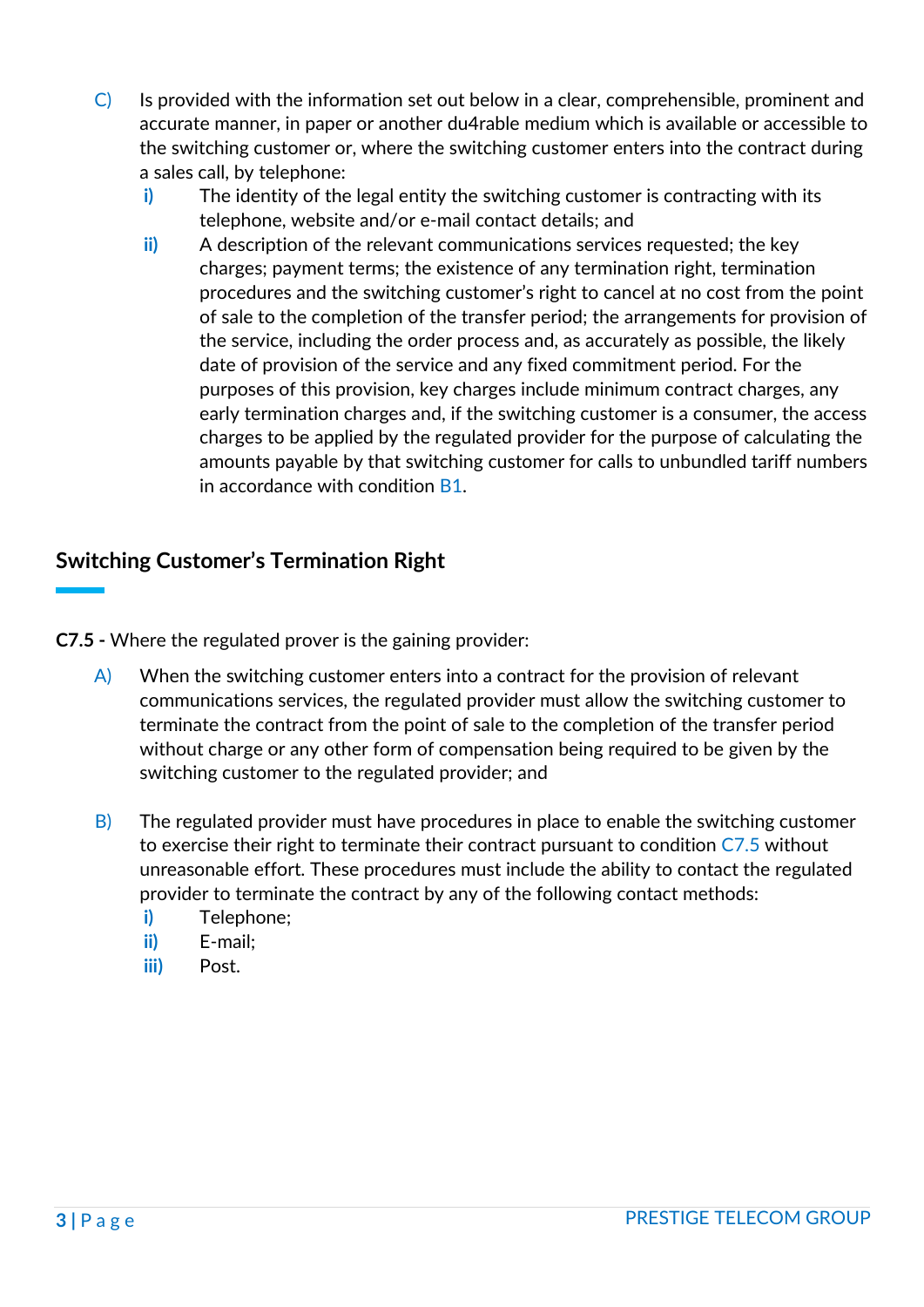- C) Is provided with the information set out below in a clear, comprehensible, prominent and accurate manner, in paper or another du4rable medium which is available or accessible to the switching customer or, where the switching customer enters into the contract during a sales call, by telephone:
	- **i)** The identity of the legal entity the switching customer is contracting with its telephone, website and/or e-mail contact details; and
	- **ii)** A description of the relevant communications services requested; the key charges; payment terms; the existence of any termination right, termination procedures and the switching customer's right to cancel at no cost from the point of sale to the completion of the transfer period; the arrangements for provision of the service, including the order process and, as accurately as possible, the likely date of provision of the service and any fixed commitment period. For the purposes of this provision, key charges include minimum contract charges, any early termination charges and, if the switching customer is a consumer, the access charges to be applied by the regulated provider for the purpose of calculating the amounts payable by that switching customer for calls to unbundled tariff numbers in accordance with condition B1.

# **Switching Customer's Termination Right**

**C7.5 -** Where the regulated prover is the gaining provider:

- $\mathsf{A}$  When the switching customer enters into a contract for the provision of relevant communications services, the regulated provider must allow the switching customer to terminate the contract from the point of sale to the completion of the transfer period without charge or any other form of compensation being required to be given by the switching customer to the regulated provider; and
- $\overline{B}$ ) The regulated provider must have procedures in place to enable the switching customer to exercise their right to terminate their contract pursuant to condition C7.5 without unreasonable effort. These procedures must include the ability to contact the regulated provider to terminate the contract by any of the following contact methods:
	- **i)** Telephone;
	- **ii)** E-mail;
	- **iii)** Post.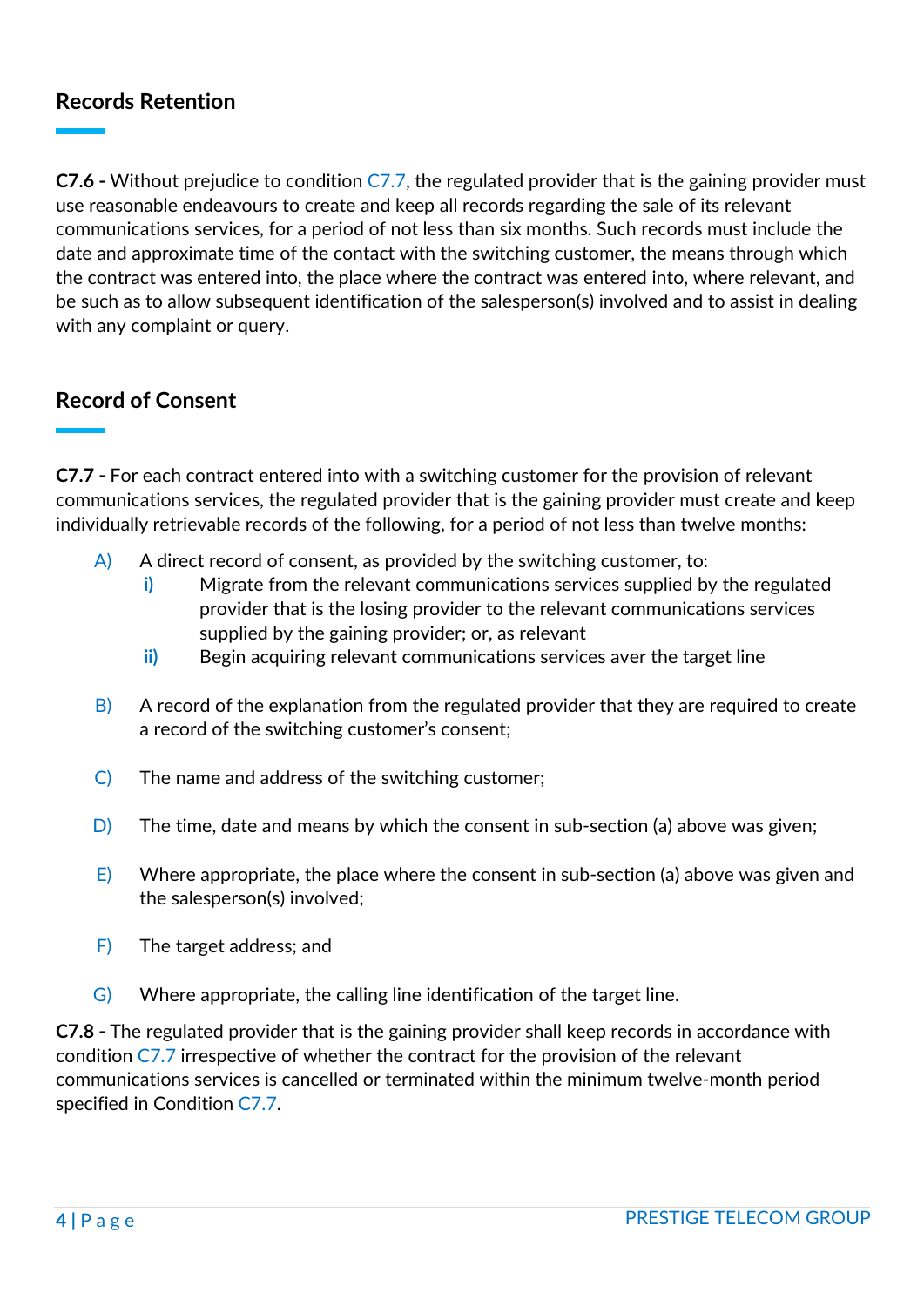# **Records Retention**

**C7.6 -** Without prejudice to condition C7.7, the regulated provider that is the gaining provider must use reasonable endeavours to create and keep all records regarding the sale of its relevant communications services, for a period of not less than six months. Such records must include the date and approximate time of the contact with the switching customer, the means through which the contract was entered into, the place where the contract was entered into, where relevant, and be such as to allow subsequent identification of the salesperson(s) involved and to assist in dealing with any complaint or query.

## **Record of Consent**

**C7.7 -** For each contract entered into with a switching customer for the provision of relevant communications services, the regulated provider that is the gaining provider must create and keep individually retrievable records of the following, for a period of not less than twelve months:

- $\overline{A}$  A direct record of consent, as provided by the switching customer, to:
	- **i)** Migrate from the relevant communications services supplied by the regulated provider that is the losing provider to the relevant communications services supplied by the gaining provider; or, as relevant
	- **ii)** Begin acquiring relevant communications services aver the target line
- $\vert B \vert$  A record of the explanation from the regulated provider that they are required to create a record of the switching customer's consent;
- C) The name and address of the switching customer;
- $\vert D \vert$  The time, date and means by which the consent in sub-section (a) above was given;
- E) Where appropriate, the place where the consent in sub-section (a) above was given and the salesperson(s) involved;
- F) The target address; and
- G) Where appropriate, the calling line identification of the target line.

**C7.8 -** The regulated provider that is the gaining provider shall keep records in accordance with condition C7.7 irrespective of whether the contract for the provision of the relevant communications services is cancelled or terminated within the minimum twelve-month period specified in Condition C7.7.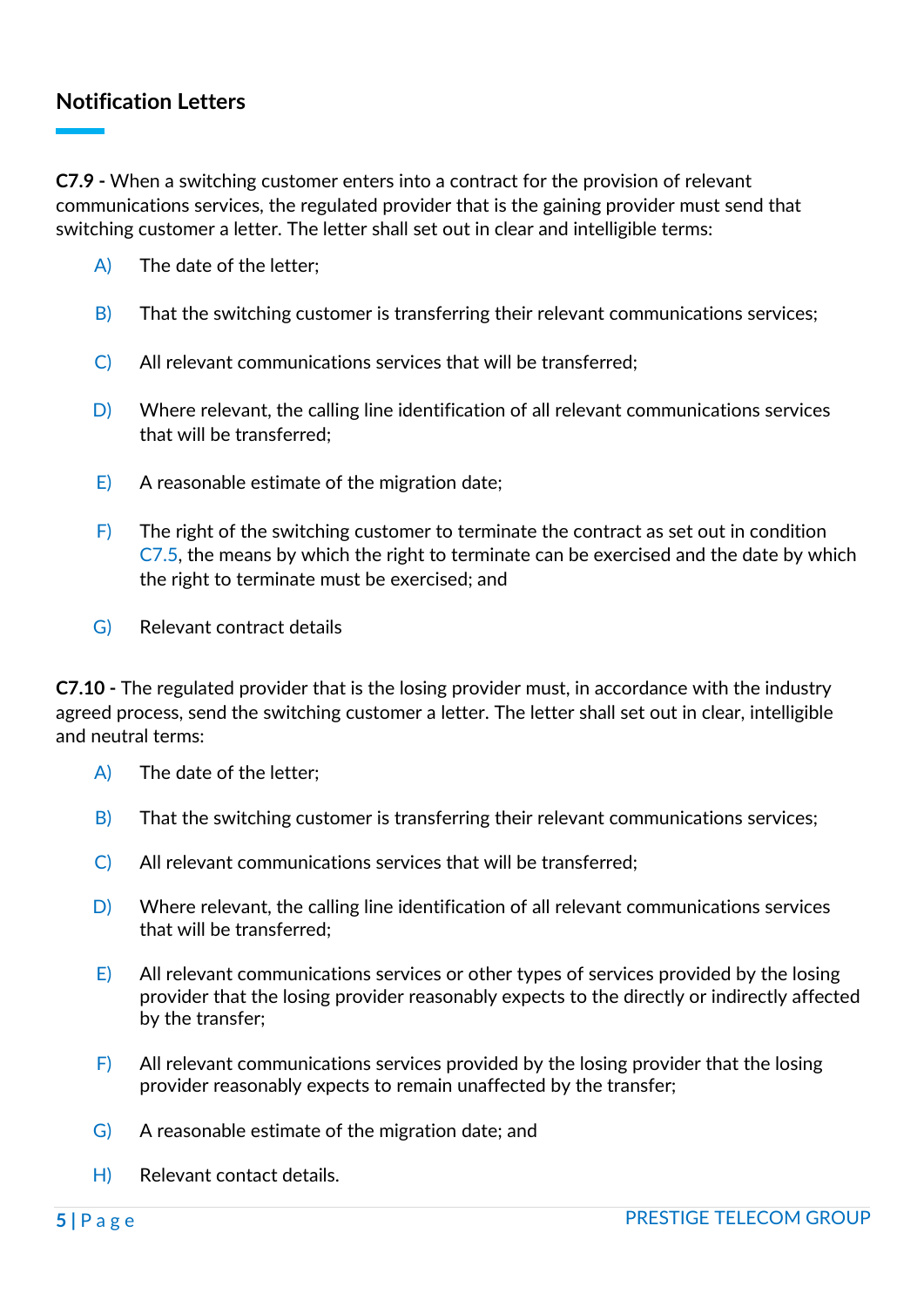### **Notification Letters**

**C7.9 -** When a switching customer enters into a contract for the provision of relevant communications services, the regulated provider that is the gaining provider must send that switching customer a letter. The letter shall set out in clear and intelligible terms:

- A) The date of the letter;
- $\vert B\rangle$  That the switching customer is transferring their relevant communications services;
- C) All relevant communications services that will be transferred;
- D) Where relevant, the calling line identification of all relevant communications services that will be transferred;
- $\overline{E}$  A reasonable estimate of the migration date;
- $\overline{F}$  The right of the switching customer to terminate the contract as set out in condition C7.5, the means by which the right to terminate can be exercised and the date by which the right to terminate must be exercised; and
- G) Relevant contract details

**C7.10 -** The regulated provider that is the losing provider must, in accordance with the industry agreed process, send the switching customer a letter. The letter shall set out in clear, intelligible and neutral terms:

- A) The date of the letter;
- $\vert$ B) That the switching customer is transferring their relevant communications services;
- C) All relevant communications services that will be transferred;
- D) Where relevant, the calling line identification of all relevant communications services that will be transferred;
- $\overline{E}$  All relevant communications services or other types of services provided by the losing provider that the losing provider reasonably expects to the directly or indirectly affected by the transfer;
- $\overline{F}$  All relevant communications services provided by the losing provider that the losing provider reasonably expects to remain unaffected by the transfer;
- G) A reasonable estimate of the migration date; and
- H) Relevant contact details.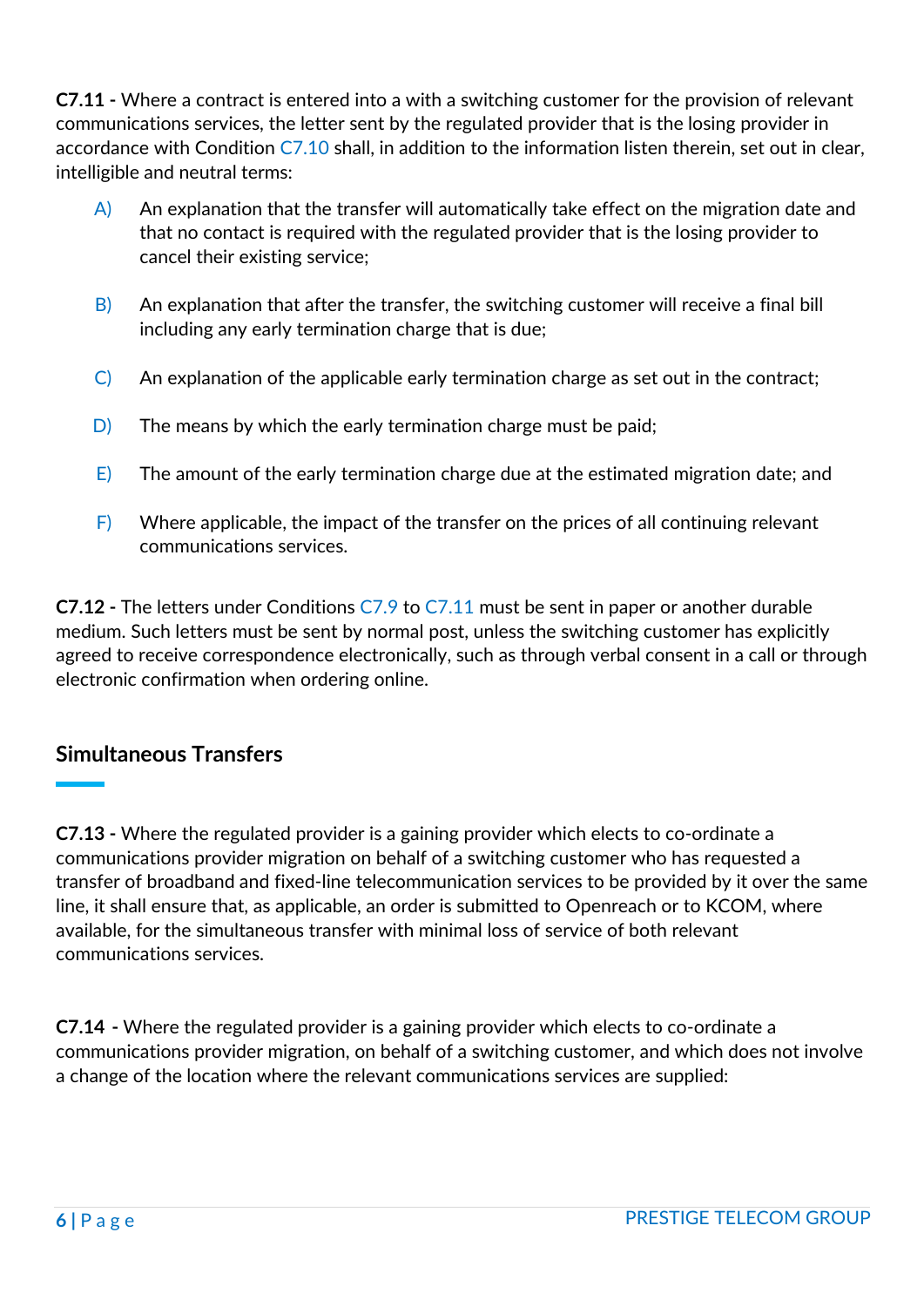**C7.11 -** Where a contract is entered into a with a switching customer for the provision of relevant communications services, the letter sent by the regulated provider that is the losing provider in accordance with Condition C7.10 shall, in addition to the information listen therein, set out in clear, intelligible and neutral terms:

- $\overline{A}$  An explanation that the transfer will automatically take effect on the migration date and that no contact is required with the regulated provider that is the losing provider to cancel their existing service;
- $\vert$ B) An explanation that after the transfer, the switching customer will receive a final bill including any early termination charge that is due;
- $\vert C \vert$  An explanation of the applicable early termination charge as set out in the contract;
- $\vert D \vert$  The means by which the early termination charge must be paid;
- $E$ ) The amount of the early termination charge due at the estimated migration date; and
- $\overline{F}$  Where applicable, the impact of the transfer on the prices of all continuing relevant communications services.

**C7.12 -** The letters under Conditions C7.9 to C7.11 must be sent in paper or another durable medium. Such letters must be sent by normal post, unless the switching customer has explicitly agreed to receive correspondence electronically, such as through verbal consent in a call or through electronic confirmation when ordering online.

## **Simultaneous Transfers**

**C7.13 -** Where the regulated provider is a gaining provider which elects to co-ordinate a communications provider migration on behalf of a switching customer who has requested a transfer of broadband and fixed-line telecommunication services to be provided by it over the same line, it shall ensure that, as applicable, an order is submitted to Openreach or to KCOM, where available, for the simultaneous transfer with minimal loss of service of both relevant communications services.

**C7.14 -** Where the regulated provider is a gaining provider which elects to co-ordinate a communications provider migration, on behalf of a switching customer, and which does not involve a change of the location where the relevant communications services are supplied: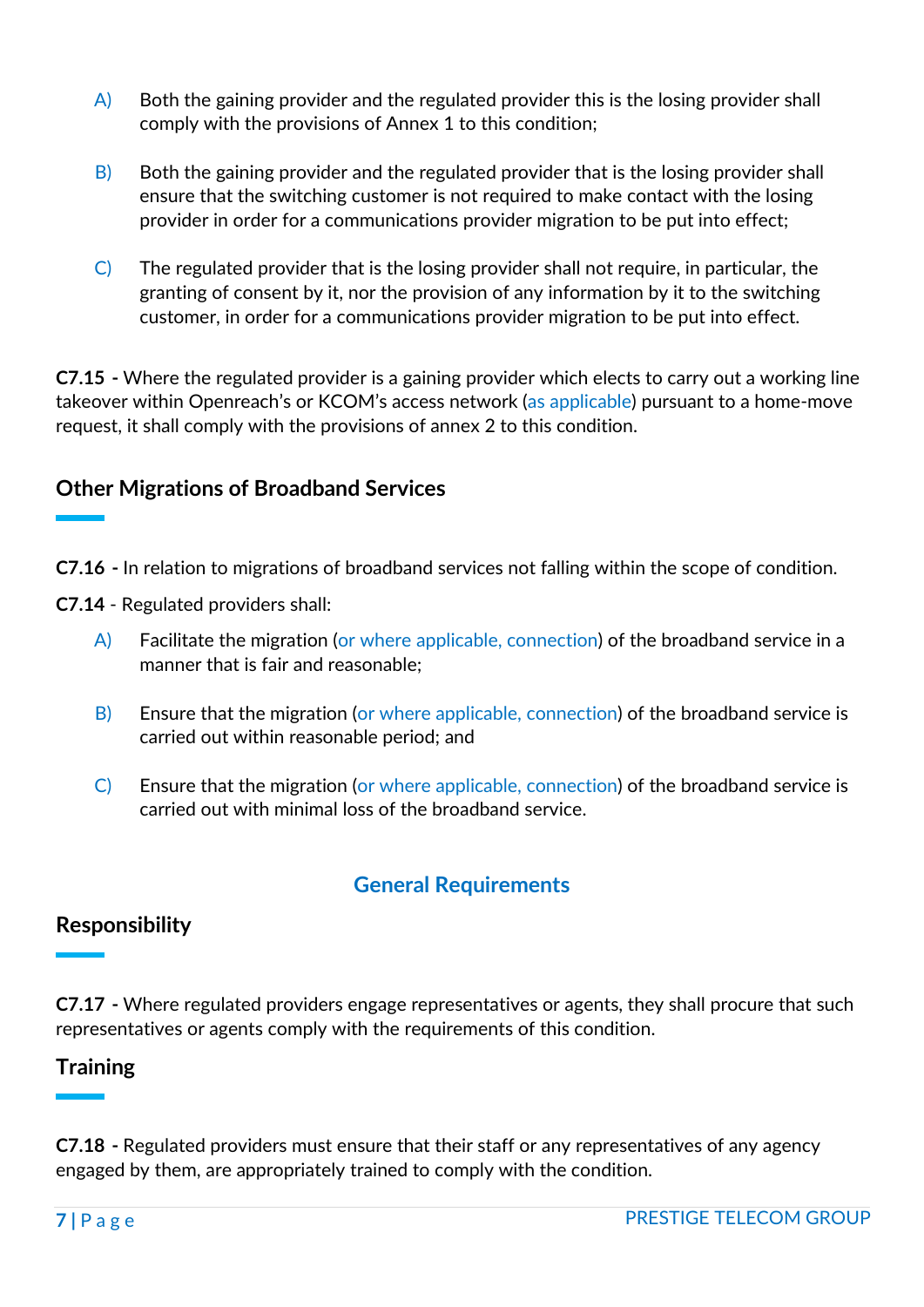- A) Both the gaining provider and the regulated provider this is the losing provider shall comply with the provisions of Annex 1 to this condition;
- B) Both the gaining provider and the regulated provider that is the losing provider shall ensure that the switching customer is not required to make contact with the losing provider in order for a communications provider migration to be put into effect;
- C) The regulated provider that is the losing provider shall not require, in particular, the granting of consent by it, nor the provision of any information by it to the switching customer, in order for a communications provider migration to be put into effect.

**C7.15 -** Where the regulated provider is a gaining provider which elects to carry out a working line takeover within Openreach's or KCOM's access network (as applicable) pursuant to a home-move request, it shall comply with the provisions of annex 2 to this condition.

# **Other Migrations of Broadband Services**

- **C7.16 -** In relation to migrations of broadband services not falling within the scope of condition.
- **C7.14** Regulated providers shall:
	- A) Facilitate the migration (or where applicable, connection) of the broadband service in a manner that is fair and reasonable;
	- B) Ensure that the migration (or where applicable, connection) of the broadband service is carried out within reasonable period; and
	- C) Ensure that the migration (or where applicable, connection) of the broadband service is carried out with minimal loss of the broadband service.

# **General Requirements**

#### **Responsibility**

**C7.17 -** Where regulated providers engage representatives or agents, they shall procure that such representatives or agents comply with the requirements of this condition.

## **Training**

**C7.18 -** Regulated providers must ensure that their staff or any representatives of any agency engaged by them, are appropriately trained to comply with the condition.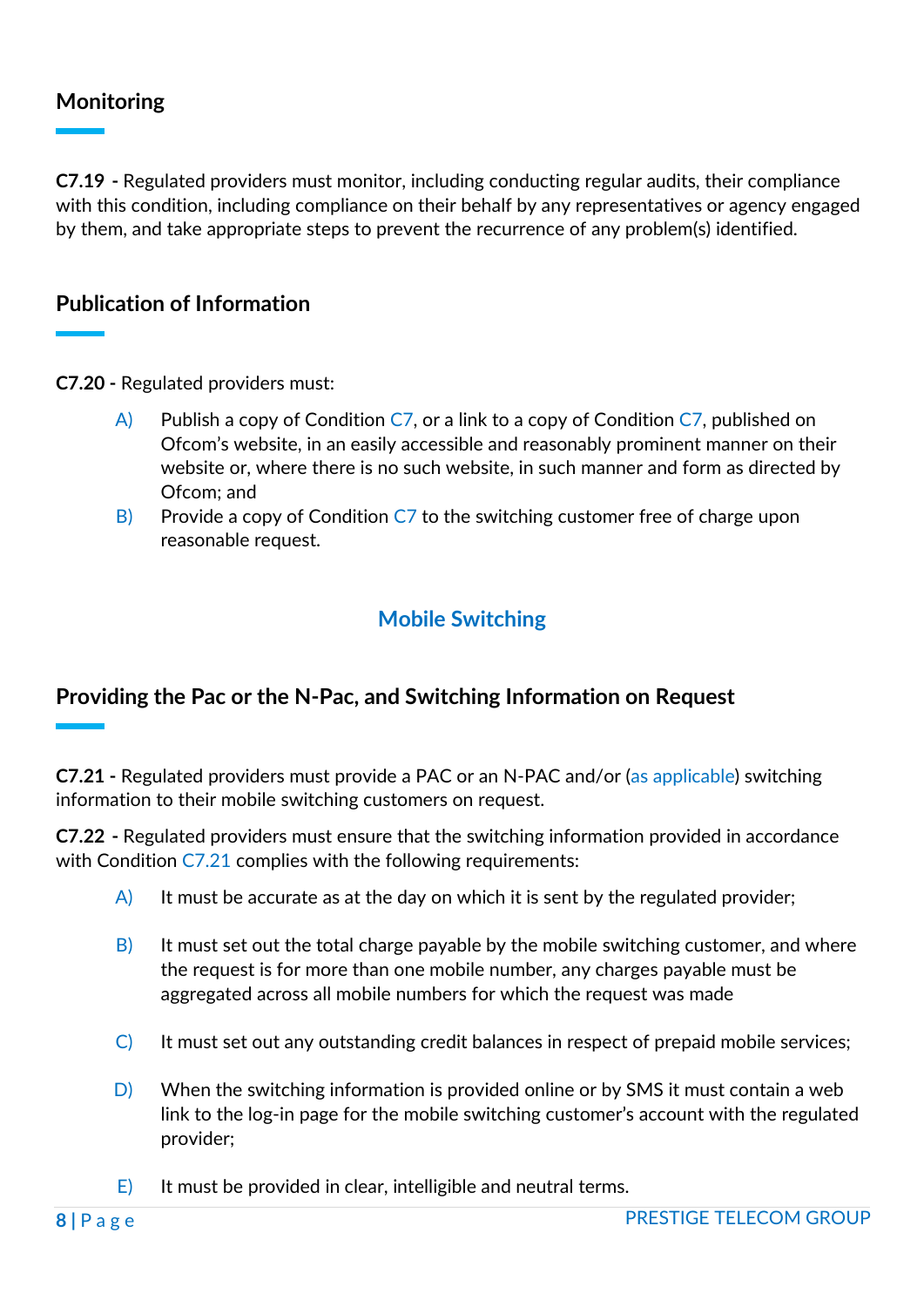# **Monitoring**

**C7.19 -** Regulated providers must monitor, including conducting regular audits, their compliance with this condition, including compliance on their behalf by any representatives or agency engaged by them, and take appropriate steps to prevent the recurrence of any problem(s) identified.

#### **Publication of Information**

**C7.20 -** Regulated providers must:

- $\overline{A}$  Publish a copy of Condition C7, or a link to a copy of Condition C7, published on Ofcom's website, in an easily accessible and reasonably prominent manner on their website or, where there is no such website, in such manner and form as directed by Ofcom; and
- B) Provide a copy of Condition  $C<sub>7</sub>$  to the switching customer free of charge upon reasonable request.

# **Mobile Switching**

## **Providing the Pac or the N-Pac, and Switching Information on Request**

**C7.21 -** Regulated providers must provide a PAC or an N-PAC and/or (as applicable) switching information to their mobile switching customers on request.

**C7.22 -** Regulated providers must ensure that the switching information provided in accordance with Condition C7.21 complies with the following requirements:

- $\mathsf{A}$  It must be accurate as at the day on which it is sent by the regulated provider;
- $\vert$ B) It must set out the total charge payable by the mobile switching customer, and where the request is for more than one mobile number, any charges payable must be aggregated across all mobile numbers for which the request was made
- $\vert C \vert$  It must set out any outstanding credit balances in respect of prepaid mobile services;
- $\vert D \vert$  When the switching information is provided online or by SMS it must contain a web link to the log-in page for the mobile switching customer's account with the regulated provider;
- $\overline{E}$  It must be provided in clear, intelligible and neutral terms.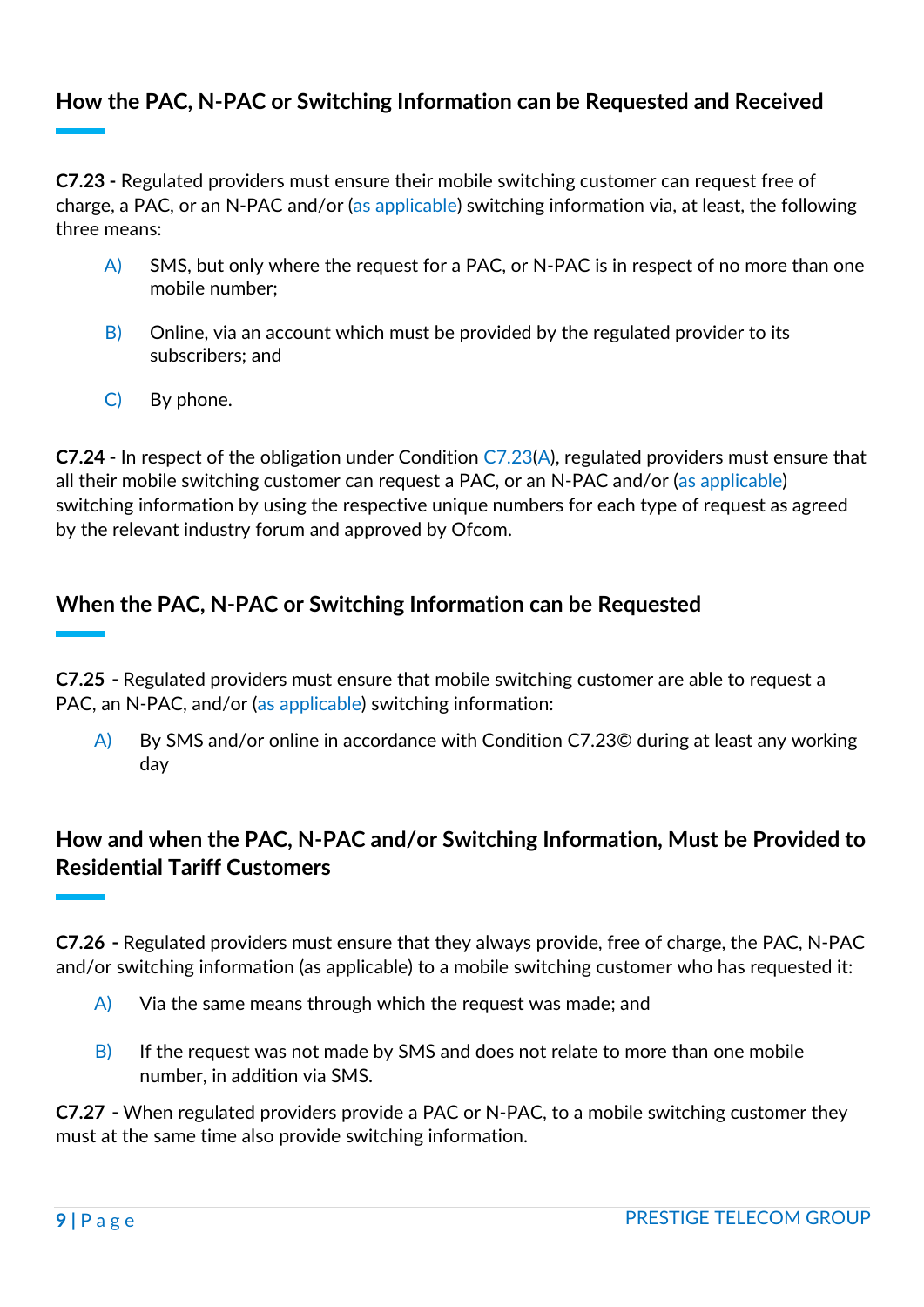# **How the PAC, N-PAC or Switching Information can be Requested and Received**

**C7.23 -** Regulated providers must ensure their mobile switching customer can request free of charge, a PAC, or an N-PAC and/or (as applicable) switching information via, at least, the following three means:

- $\overline{A}$  SMS, but only where the request for a PAC, or N-PAC is in respect of no more than one mobile number;
- $\vert$ B) Online, via an account which must be provided by the regulated provider to its subscribers; and
- C) By phone.

**C7.24 -** In respect of the obligation under Condition C7.23(A), regulated providers must ensure that all their mobile switching customer can request a PAC, or an N-PAC and/or (as applicable) switching information by using the respective unique numbers for each type of request as agreed by the relevant industry forum and approved by Ofcom.

# **When the PAC, N-PAC or Switching Information can be Requested**

**C7.25 -** Regulated providers must ensure that mobile switching customer are able to request a PAC, an N-PAC, and/or (as applicable) switching information:

A) By SMS and/or online in accordance with Condition C7.23© during at least any working day

# **How and when the PAC, N-PAC and/or Switching Information, Must be Provided to Residential Tariff Customers**

**C7.26 -** Regulated providers must ensure that they always provide, free of charge, the PAC, N-PAC and/or switching information (as applicable) to a mobile switching customer who has requested it:

- $\overline{A}$  Via the same means through which the request was made; and
- $\overline{B}$  If the request was not made by SMS and does not relate to more than one mobile number, in addition via SMS.

**C7.27 -** When regulated providers provide a PAC or N-PAC, to a mobile switching customer they must at the same time also provide switching information.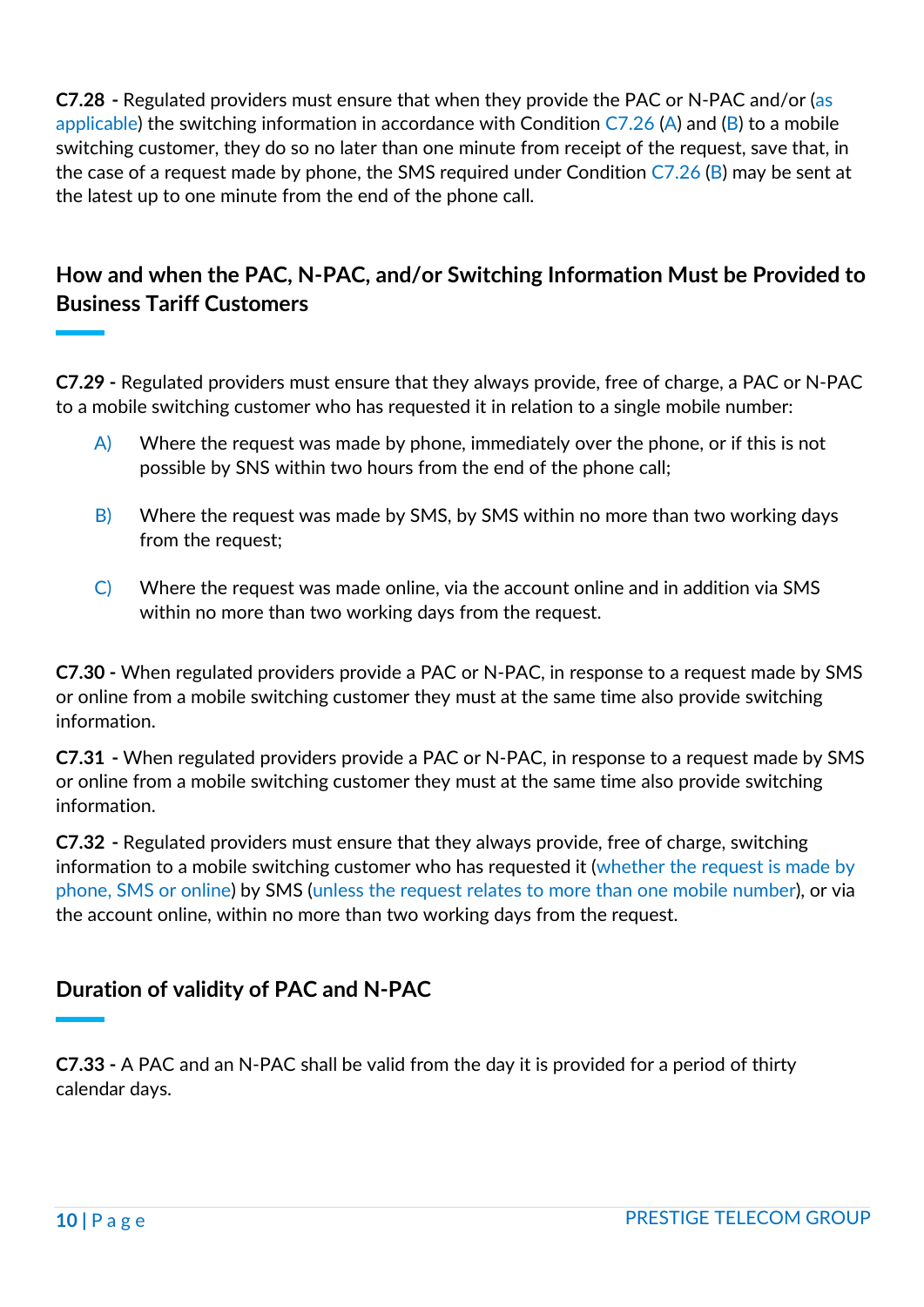**C7.28 -** Regulated providers must ensure that when they provide the PAC or N-PAC and/or (as applicable) the switching information in accordance with Condition  $C7.26$  (A) and (B) to a mobile switching customer, they do so no later than one minute from receipt of the request, save that, in the case of a request made by phone, the SMS required under Condition  $C7.26$  (B) may be sent at the latest up to one minute from the end of the phone call.

# **How and when the PAC, N-PAC, and/or Switching Information Must be Provided to Business Tariff Customers**

**C7.29 -** Regulated providers must ensure that they always provide, free of charge, a PAC or N-PAC to a mobile switching customer who has requested it in relation to a single mobile number:

- A) Where the request was made by phone, immediately over the phone, or if this is not possible by SNS within two hours from the end of the phone call;
- B) Where the request was made by SMS, by SMS within no more than two working days from the request;
- C) Where the request was made online, via the account online and in addition via SMS within no more than two working days from the request.

**C7.30 -** When regulated providers provide a PAC or N-PAC, in response to a request made by SMS or online from a mobile switching customer they must at the same time also provide switching information.

**C7.31 -** When regulated providers provide a PAC or N-PAC, in response to a request made by SMS or online from a mobile switching customer they must at the same time also provide switching information.

**C7.32 -** Regulated providers must ensure that they always provide, free of charge, switching information to a mobile switching customer who has requested it (whether the request is made by phone, SMS or online) by SMS (unless the request relates to more than one mobile number), or via the account online, within no more than two working days from the request.

# **Duration of validity of PAC and N-PAC**

**C7.33 -** A PAC and an N-PAC shall be valid from the day it is provided for a period of thirty calendar days.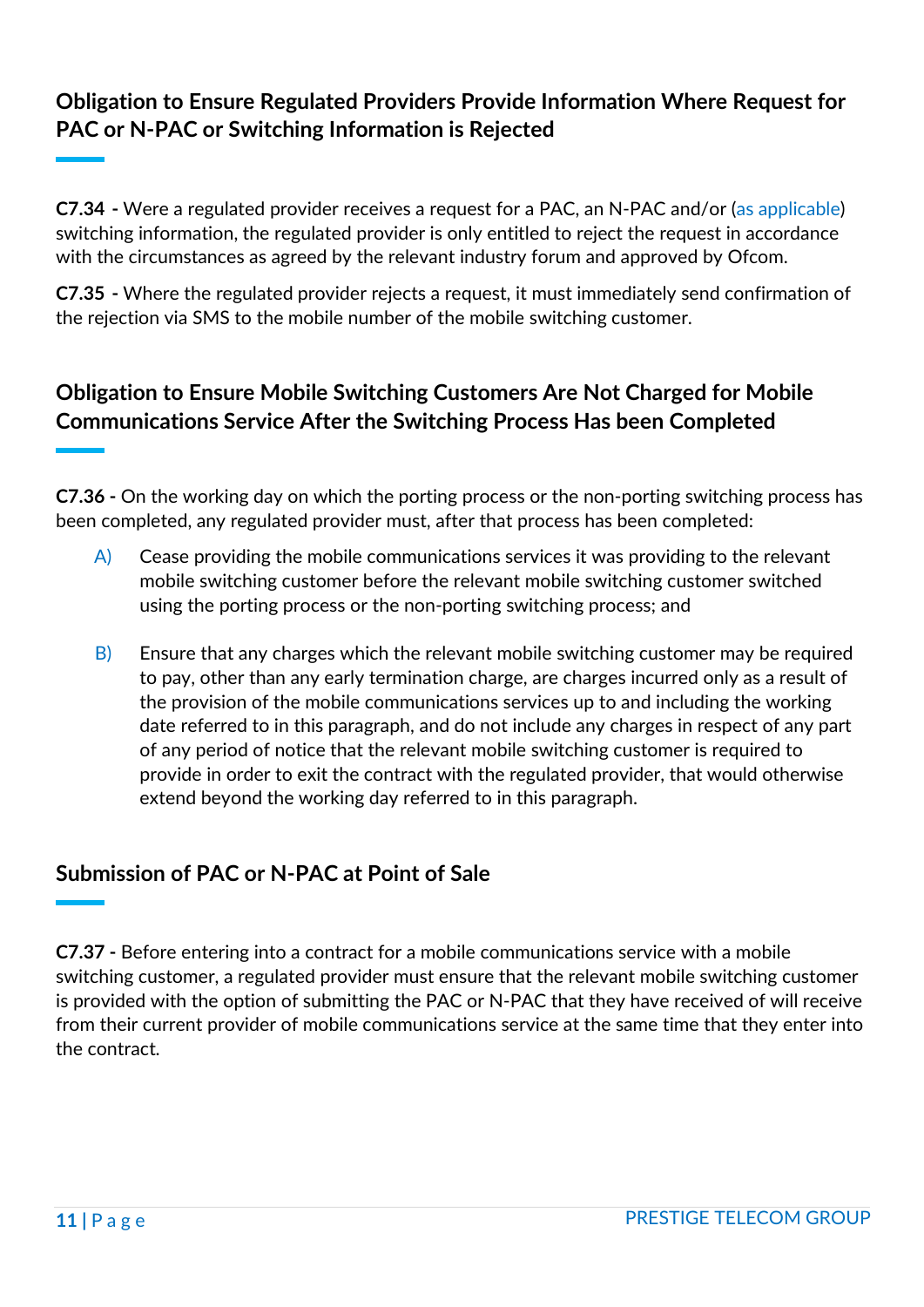# **Obligation to Ensure Regulated Providers Provide Information Where Request for PAC or N-PAC or Switching Information is Rejected**

**C7.34 -** Were a regulated provider receives a request for a PAC, an N-PAC and/or (as applicable) switching information, the regulated provider is only entitled to reject the request in accordance with the circumstances as agreed by the relevant industry forum and approved by Ofcom.

**C7.35 -** Where the regulated provider rejects a request, it must immediately send confirmation of the rejection via SMS to the mobile number of the mobile switching customer.

# **Obligation to Ensure Mobile Switching Customers Are Not Charged for Mobile Communications Service After the Switching Process Has been Completed**

**C7.36 -** On the working day on which the porting process or the non-porting switching process has been completed, any regulated provider must, after that process has been completed:

- $\overrightarrow{A}$  Cease providing the mobile communications services it was providing to the relevant mobile switching customer before the relevant mobile switching customer switched using the porting process or the non-porting switching process; and
- $\overline{B}$  Ensure that any charges which the relevant mobile switching customer may be required to pay, other than any early termination charge, are charges incurred only as a result of the provision of the mobile communications services up to and including the working date referred to in this paragraph, and do not include any charges in respect of any part of any period of notice that the relevant mobile switching customer is required to provide in order to exit the contract with the regulated provider, that would otherwise extend beyond the working day referred to in this paragraph.

# **Submission of PAC or N-PAC at Point of Sale**

**C7.37 -** Before entering into a contract for a mobile communications service with a mobile switching customer, a regulated provider must ensure that the relevant mobile switching customer is provided with the option of submitting the PAC or N-PAC that they have received of will receive from their current provider of mobile communications service at the same time that they enter into the contract.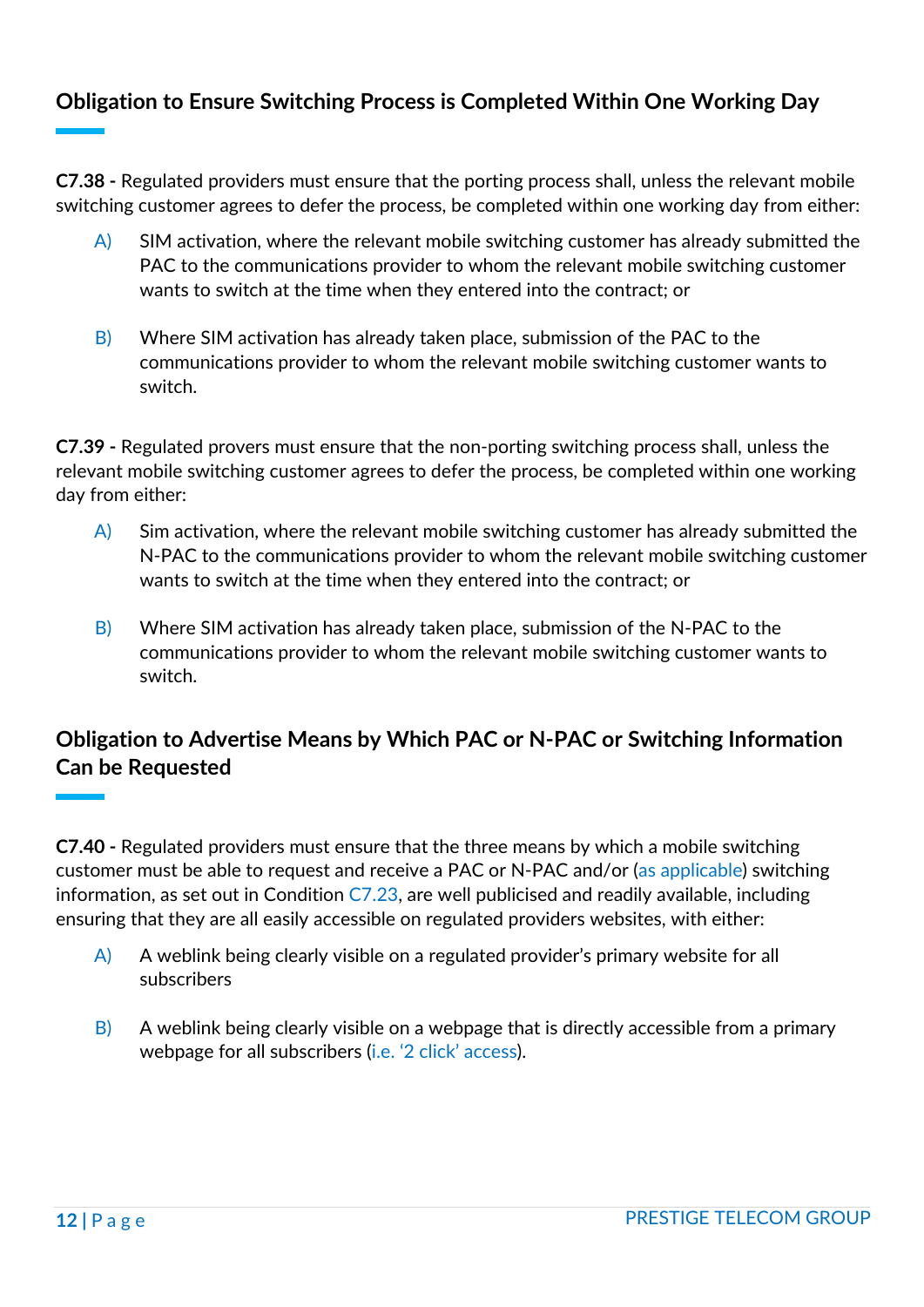# **Obligation to Ensure Switching Process is Completed Within One Working Day**

**C7.38 -** Regulated providers must ensure that the porting process shall, unless the relevant mobile switching customer agrees to defer the process, be completed within one working day from either:

- $\overline{A}$ ) SIM activation, where the relevant mobile switching customer has already submitted the PAC to the communications provider to whom the relevant mobile switching customer wants to switch at the time when they entered into the contract; or
- B) Where SIM activation has already taken place, submission of the PAC to the communications provider to whom the relevant mobile switching customer wants to switch.

**C7.39 -** Regulated provers must ensure that the non-porting switching process shall, unless the relevant mobile switching customer agrees to defer the process, be completed within one working day from either:

- $\mathsf{A}$ ) Sim activation, where the relevant mobile switching customer has already submitted the N-PAC to the communications provider to whom the relevant mobile switching customer wants to switch at the time when they entered into the contract; or
- B) Where SIM activation has already taken place, submission of the N-PAC to the communications provider to whom the relevant mobile switching customer wants to switch.

# **Obligation to Advertise Means by Which PAC or N-PAC or Switching Information Can be Requested**

**C7.40 -** Regulated providers must ensure that the three means by which a mobile switching customer must be able to request and receive a PAC or N-PAC and/or (as applicable) switching information, as set out in Condition  $C7.23$ , are well publicised and readily available, including ensuring that they are all easily accessible on regulated providers websites, with either:

- A) A weblink being clearly visible on a regulated provider's primary website for all subscribers
- B) A weblink being clearly visible on a webpage that is directly accessible from a primary webpage for all subscribers (i.e. '2 click' access).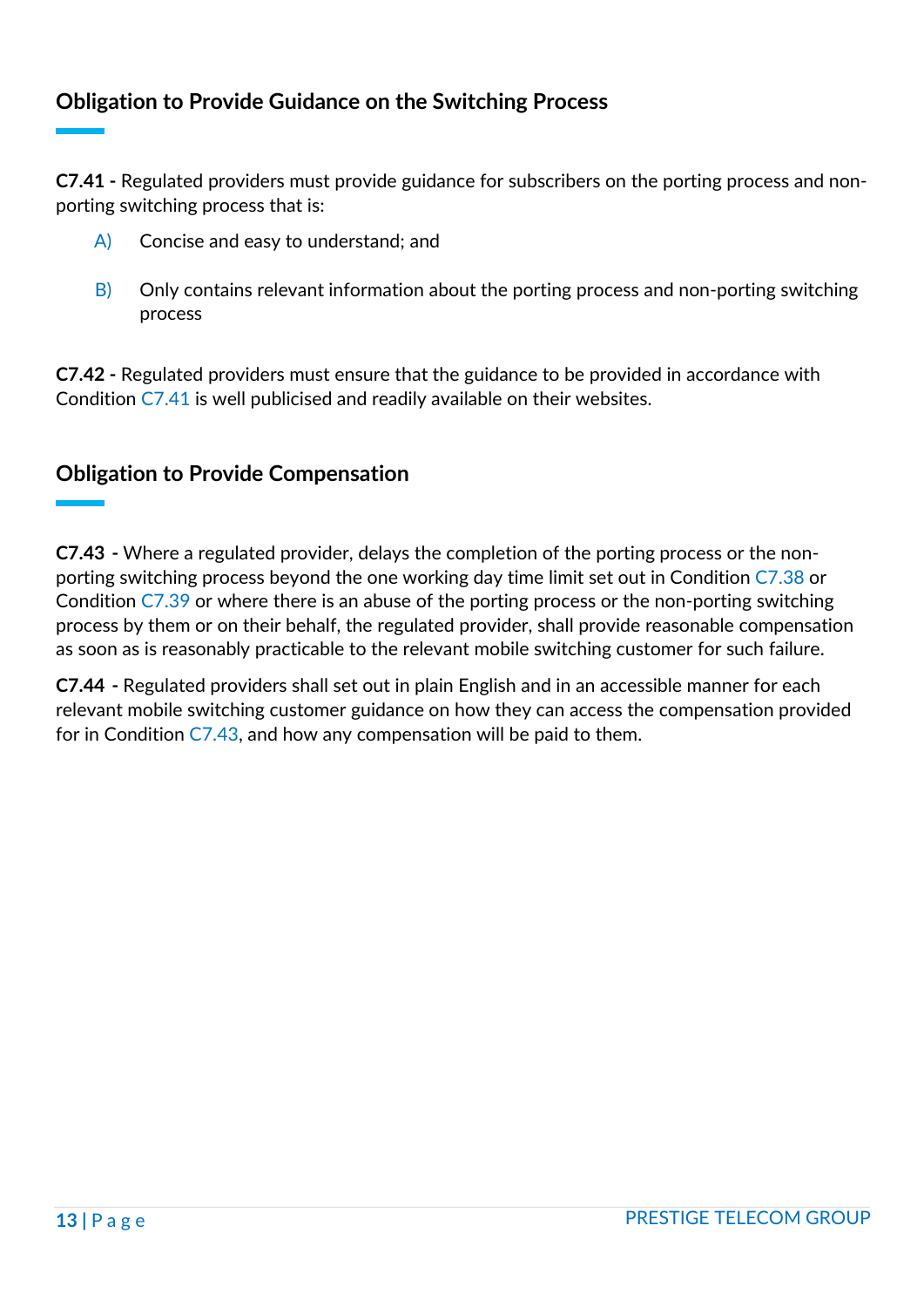# **Obligation to Provide Guidance on the Switching Process**

**C7.41 -** Regulated providers must provide guidance for subscribers on the porting process and nonporting switching process that is:

- A) Concise and easy to understand; and
- $\vert B\rangle$  Only contains relevant information about the porting process and non-porting switching process

**C7.42 -** Regulated providers must ensure that the guidance to be provided in accordance with Condition C7.41 is well publicised and readily available on their websites.

#### **Obligation to Provide Compensation**

**C7.43 -** Where a regulated provider, delays the completion of the porting process or the nonporting switching process beyond the one working day time limit set out in Condition C7.38 or Condition C7.39 or where there is an abuse of the porting process or the non-porting switching process by them or on their behalf, the regulated provider, shall provide reasonable compensation as soon as is reasonably practicable to the relevant mobile switching customer for such failure.

**C7.44 -** Regulated providers shall set out in plain English and in an accessible manner for each relevant mobile switching customer guidance on how they can access the compensation provided for in Condition C7.43, and how any compensation will be paid to them.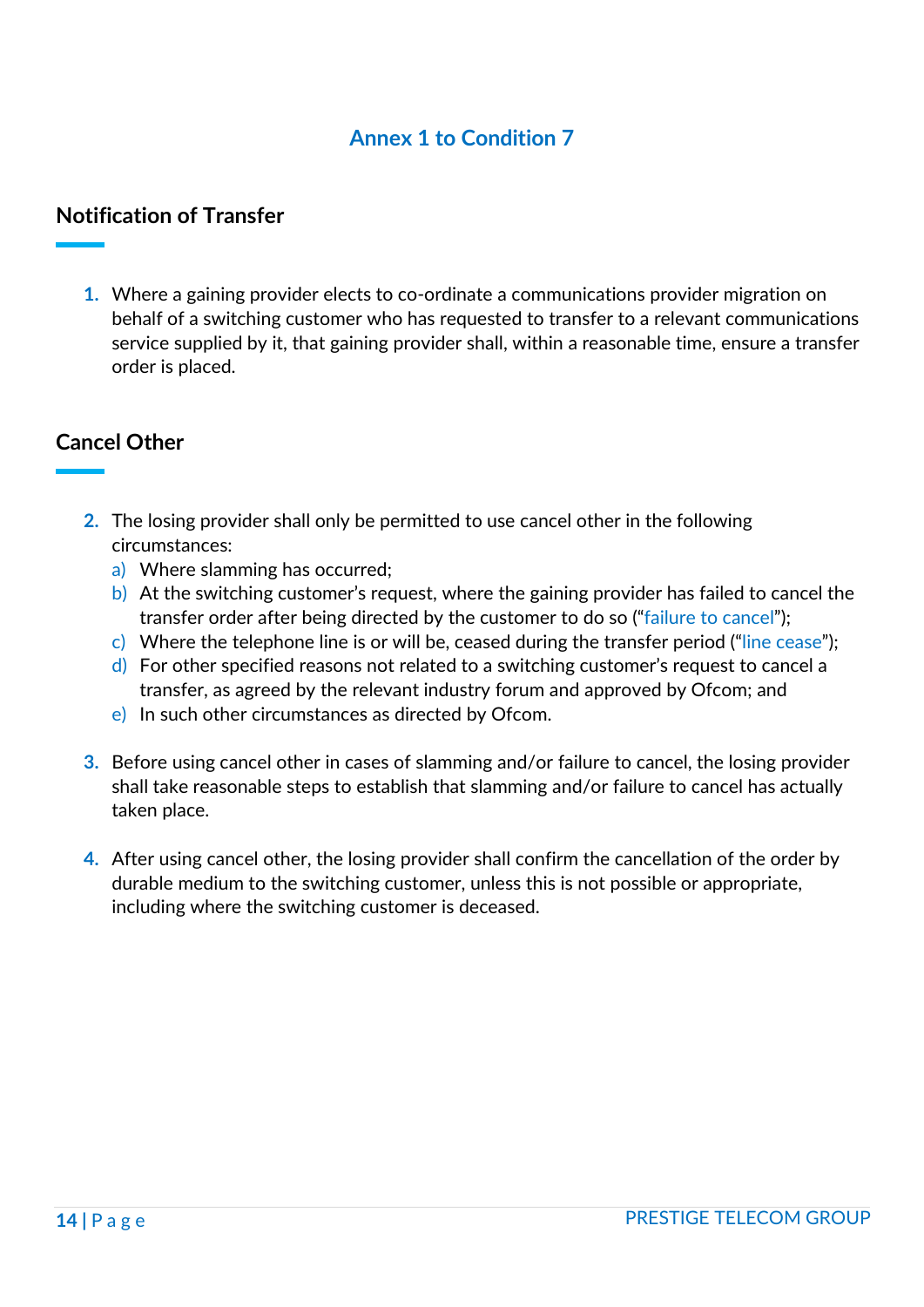# **Annex 1 to Condition 7**

## **Notification of Transfer**

**1.** Where a gaining provider elects to co-ordinate a communications provider migration on behalf of a switching customer who has requested to transfer to a relevant communications service supplied by it, that gaining provider shall, within a reasonable time, ensure a transfer order is placed.

## **Cancel Other**

- **2.** The losing provider shall only be permitted to use cancel other in the following circumstances:
	- a) Where slamming has occurred;
	- b) At the switching customer's request, where the gaining provider has failed to cancel the transfer order after being directed by the customer to do so ("failure to cancel");
	- c) Where the telephone line is or will be, ceased during the transfer period ("line cease");
	- $\mathsf{d}$ ) For other specified reasons not related to a switching customer's request to cancel a transfer, as agreed by the relevant industry forum and approved by Ofcom; and
	- e) In such other circumstances as directed by Ofcom.
- **3.** Before using cancel other in cases of slamming and/or failure to cancel, the losing provider shall take reasonable steps to establish that slamming and/or failure to cancel has actually taken place.
- **4.** After using cancel other, the losing provider shall confirm the cancellation of the order by durable medium to the switching customer, unless this is not possible or appropriate, including where the switching customer is deceased.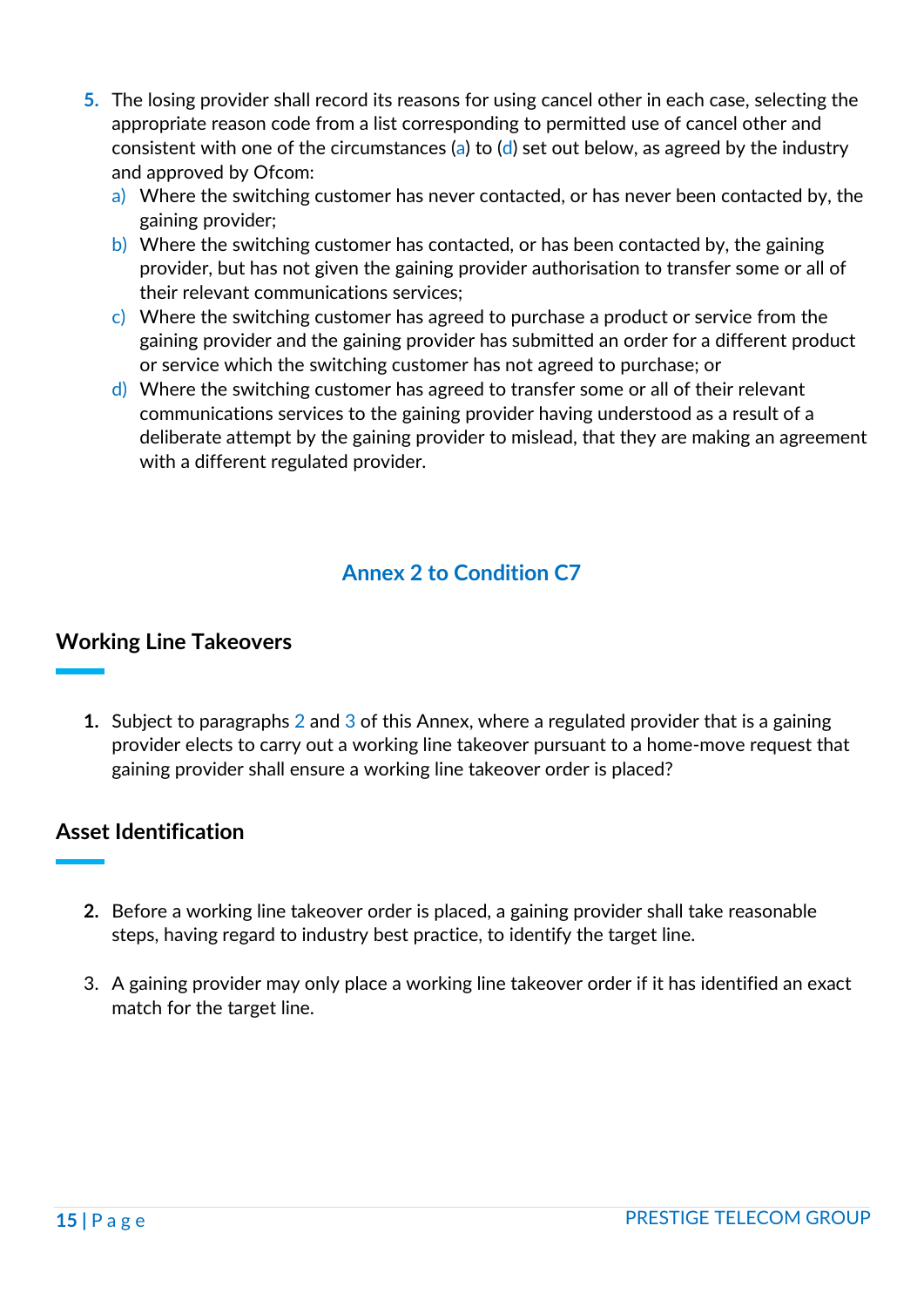- **5.** The losing provider shall record its reasons for using cancel other in each case, selecting the appropriate reason code from a list corresponding to permitted use of cancel other and consistent with one of the circumstances (a) to (d) set out below, as agreed by the industry and approved by Ofcom:
	- a) Where the switching customer has never contacted, or has never been contacted by, the gaining provider;
	- b) Where the switching customer has contacted, or has been contacted by, the gaining provider, but has not given the gaining provider authorisation to transfer some or all of their relevant communications services;
	- c) Where the switching customer has agreed to purchase a product or service from the gaining provider and the gaining provider has submitted an order for a different product or service which the switching customer has not agreed to purchase; or
	- d) Where the switching customer has agreed to transfer some or all of their relevant communications services to the gaining provider having understood as a result of a deliberate attempt by the gaining provider to mislead, that they are making an agreement with a different regulated provider.

# **Annex 2 to Condition C7**

#### **Working Line Takeovers**

**1.** Subject to paragraphs 2 and 3 of this Annex, where a regulated provider that is a gaining provider elects to carry out a working line takeover pursuant to a home-move request that gaining provider shall ensure a working line takeover order is placed?

## **Asset Identification**

- **2.** Before a working line takeover order is placed, a gaining provider shall take reasonable steps, having regard to industry best practice, to identify the target line.
- 3. A gaining provider may only place a working line takeover order if it has identified an exact match for the target line.